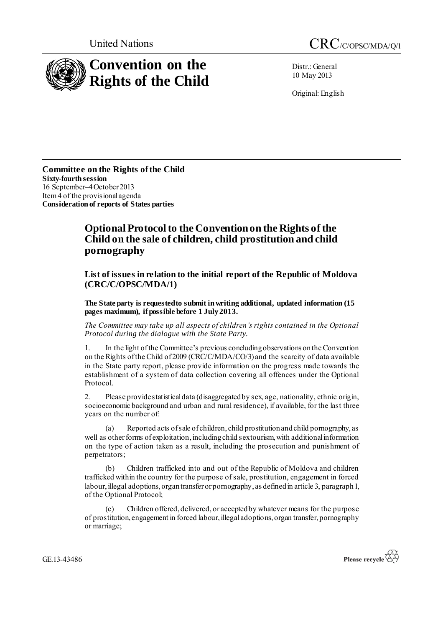

Distr.: General 10 May 2013

Original: English

**Committee on the Rights of the Child Sixty-fourth session** 16 September–4 October 2013 Item 4 of the provisional agenda **Consideration of reports of States parties**

## **Optional Protocol to the Convention on the Rights of the Child on the sale of children, child prostitution and child pornography**

**List of issues in relation to the initial report of the Republic of Moldova (CRC/C/OPSC/MDA/1)**

**The State party is requested to submit in writing additional, updated information (15 pages maximum), if possible before 1 July2013.**

*The Committee may take up all aspects of children's rights contained in the Optional Protocol during the dialogue with the State Party.*

1. In the light of the Committee's previous concluding observations on the Convention on the Rights of the Child of 2009 (CRC/C/MDA/CO/3) and the scarcity of data available in the State party report, please provide information on the progress made towards the establishment of a system of data collection covering all offences under the Optional Protocol.

2. Please provide statistical data (disaggregated by sex, age, nationality, ethnic origin, socioeconomic background and urban and rural residence), if available, for the last three years on the number of:

(a) Reported acts of sale of children, child prostitution and child pornography, as well as other forms of exploitation, including child sextourism, with additional information on the type of action taken as a result, including the prosecution and punishment of perpetrators;

(b) Children trafficked into and out of the Republic of Moldova and children trafficked within the country for the purpose of sale, prostitution, engagement in forced labour, illegal adoptions, organ transfer or pornography, as defined in article 3, paragraph 1, of the Optional Protocol;

(c) Children offered, delivered, or accepted by whatever means for the purpose of prostitution, engagement in forced labour, illegal adoptions, organ transfer, pornography or marriage;

GE.13-43486